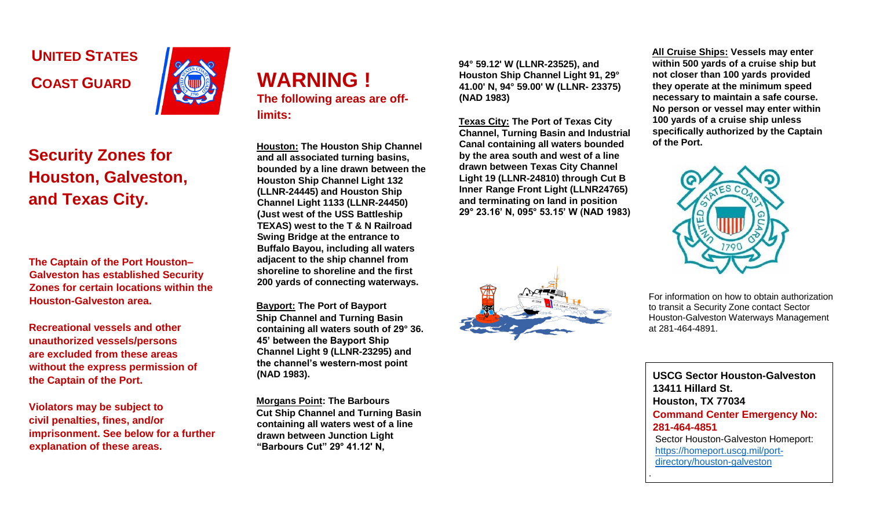**UNITED STATES COAST GUARD** 



## **Security Zones for Houston, Galveston, and Texas City.**

**The Captain of the Port Houston– Galveston has established Security Zones for certain locations within the Houston-Galveston area.** 

**Recreational vessels and other unauthorized vessels/persons are excluded from these areas without the express permission of the Captain of the Port.** 

**Violators may be subject to civil penalties, fines, and/or imprisonment. See below for a further explanation of these areas.** 



**Houston: The Houston Ship Channel and all associated turning basins, bounded by a line drawn between the Houston Ship Channel Light 132 (LLNR-24445) and Houston Ship Channel Light 1133 (LLNR-24450) (Just west of the USS Battleship TEXAS) west to the T & N Railroad Swing Bridge at the entrance to Buffalo Bayou, including all waters adjacent to the ship channel from shoreline to shoreline and the first 200 yards of connecting waterways.**

**Bayport: The Port of Bayport Ship Channel and Turning Basin containing all waters south of 29° 36. 45' between the Bayport Ship Channel Light 9 (LLNR-23295) and the channel's western-most point (NAD 1983).**

**Morgans Point: The Barbours Cut Ship Channel and Turning Basin containing all waters west of a line drawn between Junction Light "Barbours Cut" 29° 41.12' N,** 

**94° 59.12' W (LLNR-23525), and Houston Ship Channel Light 91, 29° 41.00' N, 94° 59.00' W (LLNR- 23375) (NAD 1983)**

**Texas City: The Port of Texas City Channel, Turning Basin and Industrial Canal containing all waters bounded by the area south and west of a line drawn between Texas City Channel Light 19 (LLNR-24810) through Cut B Inner Range Front Light (LLNR24765) and terminating on land in position 29° 23.16' N, 095° 53.15' W (NAD 1983)**



**All Cruise Ships: Vessels may enter within 500 yards of a cruise ship but not closer than 100 yards provided they operate at the minimum speed necessary to maintain a safe course. No person or vessel may enter within 100 yards of a cruise ship unless specifically authorized by the Captain of the Port.**



For information on how to obtain authorization to transit a Security Zone contact Sector Houston-Galveston Waterways Management at 281-464-4891.

**USCG Sector Houston-Galveston 13411 Hillard St. Houston, TX 77034 Command Center Emergency No: 281-464-4851**  Sector Houston-Galveston Homeport: [https://homeport.uscg.mil/port](https://homeport.uscg.mil/port-directory/houston-galveston)[directory/houston-galveston](https://homeport.uscg.mil/port-directory/houston-galveston)

.